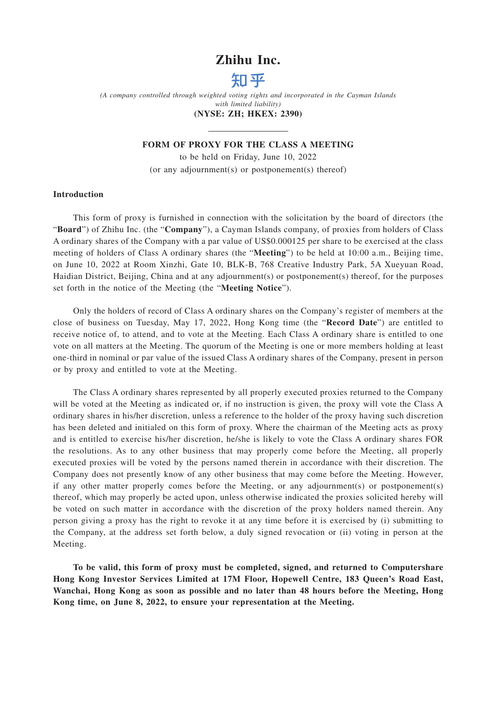### **Zhihu Inc.**



*(A company controlled through weighted voting rights and incorporated in the Cayman Islands with limited liability)*

### **(NYSE: ZH; HKEX: 2390)**

### **FORM OF PROXY FOR THE CLASS A MEETING**

to be held on Friday, June 10, 2022 (or any adjournment(s) or postponement(s) thereof)

### **Introduction**

This form of proxy is furnished in connection with the solicitation by the board of directors (the "**Board**") of Zhihu Inc. (the "**Company**"), a Cayman Islands company, of proxies from holders of Class A ordinary shares of the Company with a par value of US\$0.000125 per share to be exercised at the class meeting of holders of Class A ordinary shares (the "**Meeting**") to be held at 10:00 a.m., Beijing time, on June 10, 2022 at Room Xinzhi, Gate 10, BLK-B, 768 Creative Industry Park, 5A Xueyuan Road, Haidian District, Beijing, China and at any adjournment(s) or postponement(s) thereof, for the purposes set forth in the notice of the Meeting (the "**Meeting Notice**").

Only the holders of record of Class A ordinary shares on the Company's register of members at the close of business on Tuesday, May 17, 2022, Hong Kong time (the "**Record Date**") are entitled to receive notice of, to attend, and to vote at the Meeting. Each Class A ordinary share is entitled to one vote on all matters at the Meeting. The quorum of the Meeting is one or more members holding at least one-third in nominal or par value of the issued Class A ordinary shares of the Company, present in person or by proxy and entitled to vote at the Meeting.

The Class A ordinary shares represented by all properly executed proxies returned to the Company will be voted at the Meeting as indicated or, if no instruction is given, the proxy will vote the Class A ordinary shares in his/her discretion, unless a reference to the holder of the proxy having such discretion has been deleted and initialed on this form of proxy. Where the chairman of the Meeting acts as proxy and is entitled to exercise his/her discretion, he/she is likely to vote the Class A ordinary shares FOR the resolutions. As to any other business that may properly come before the Meeting, all properly executed proxies will be voted by the persons named therein in accordance with their discretion. The Company does not presently know of any other business that may come before the Meeting. However, if any other matter properly comes before the Meeting, or any adjournment(s) or postponement(s) thereof, which may properly be acted upon, unless otherwise indicated the proxies solicited hereby will be voted on such matter in accordance with the discretion of the proxy holders named therein. Any person giving a proxy has the right to revoke it at any time before it is exercised by (i) submitting to the Company, at the address set forth below, a duly signed revocation or (ii) voting in person at the Meeting.

**To be valid, this form of proxy must be completed, signed, and returned to Computershare Hong Kong Investor Services Limited at 17M Floor, Hopewell Centre, 183 Queen's Road East, Wanchai, Hong Kong as soon as possible and no later than 48 hours before the Meeting, Hong Kong time, on June 8, 2022, to ensure your representation at the Meeting.**